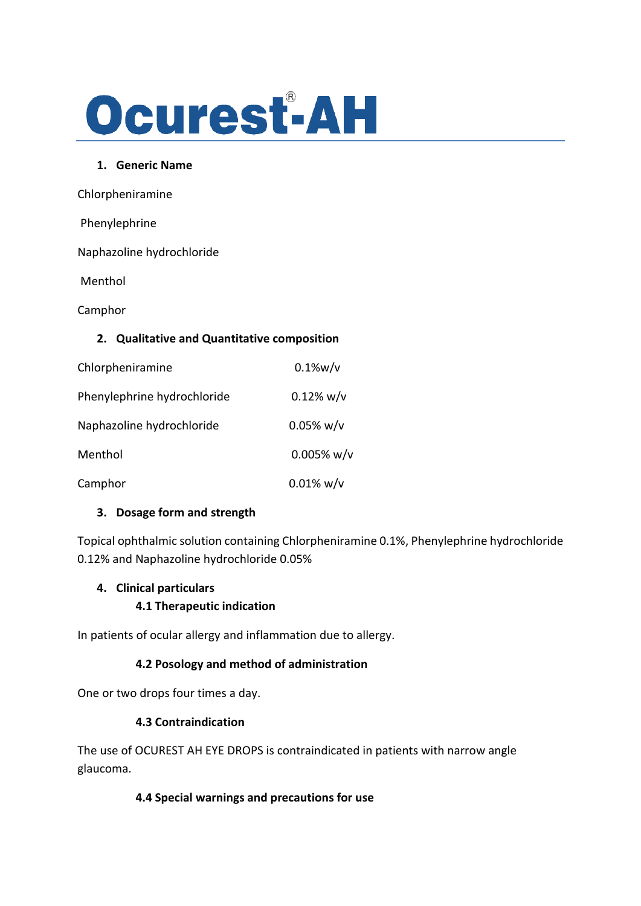

#### **1. Generic Name**

Chlorpheniramine

| Phenylephrine                               |               |
|---------------------------------------------|---------------|
| Naphazoline hydrochloride                   |               |
| Menthol                                     |               |
| Camphor                                     |               |
| 2. Qualitative and Quantitative composition |               |
| Chlorpheniramine                            | $0.1\%$ w/v   |
| Phenylephrine hydrochloride                 | $0.12\%$ w/v  |
| Naphazoline hydrochloride                   | $0.05\%$ w/v  |
| Menthol                                     | $0.005\%$ w/v |
| Camphor                                     | $0.01\%$ w/v  |
|                                             |               |

### **3. Dosage form and strength**

Topical ophthalmic solution containing Chlorpheniramine 0.1%, Phenylephrine hydrochloride 0.12% and Naphazoline hydrochloride 0.05%

#### **4. Clinical particulars**

**4.1 Therapeutic indication**

In patients of ocular allergy and inflammation due to allergy.

### **4.2 Posology and method of administration**

One or two drops four times a day.

#### **4.3 Contraindication**

The use of OCUREST AH EYE DROPS is contraindicated in patients with narrow angle glaucoma.

### **4.4 Special warnings and precautions for use**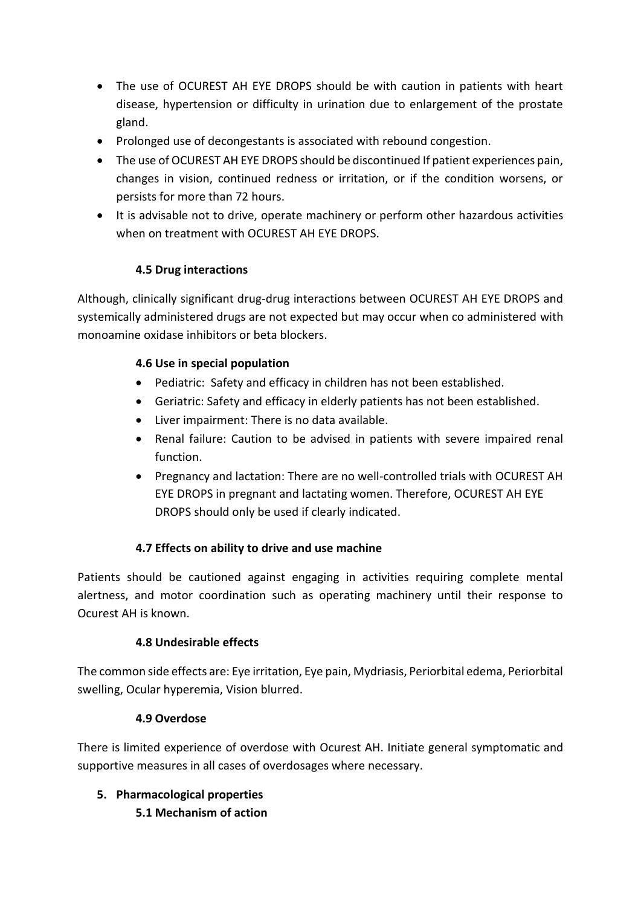- The use of OCUREST AH EYE DROPS should be with caution in patients with heart disease, hypertension or difficulty in urination due to enlargement of the prostate gland.
- Prolonged use of decongestants is associated with rebound congestion.
- The use of OCUREST AH EYE DROPS should be discontinued If patient experiences pain, changes in vision, continued redness or irritation, or if the condition worsens, or persists for more than 72 hours.
- It is advisable not to drive, operate machinery or perform other hazardous activities when on treatment with OCUREST AH EYE DROPS

# **4.5 Drug interactions**

Although, clinically significant drug-drug interactions between OCUREST AH EYE DROPS and systemically administered drugs are not expected but may occur when co administered with monoamine oxidase inhibitors or beta blockers.

## **4.6 Use in special population**

- Pediatric: Safety and efficacy in children has not been established.
- Geriatric: Safety and efficacy in elderly patients has not been established.
- Liver impairment: There is no data available.
- Renal failure: Caution to be advised in patients with severe impaired renal function.
- Pregnancy and lactation: There are no well-controlled trials with OCUREST AH EYE DROPS in pregnant and lactating women. Therefore, OCUREST AH EYE DROPS should only be used if clearly indicated.

## **4.7 Effects on ability to drive and use machine**

Patients should be cautioned against engaging in activities requiring complete mental alertness, and motor coordination such as operating machinery until their response to Ocurest AH is known.

## **4.8 Undesirable effects**

The common side effects are: Eye irritation, Eye pain, Mydriasis, Periorbital edema, Periorbital swelling, Ocular hyperemia, Vision blurred.

## **4.9 Overdose**

There is limited experience of overdose with Ocurest AH. Initiate general symptomatic and supportive measures in all cases of overdosages where necessary.

# **5. Pharmacological properties 5.1 Mechanism of action**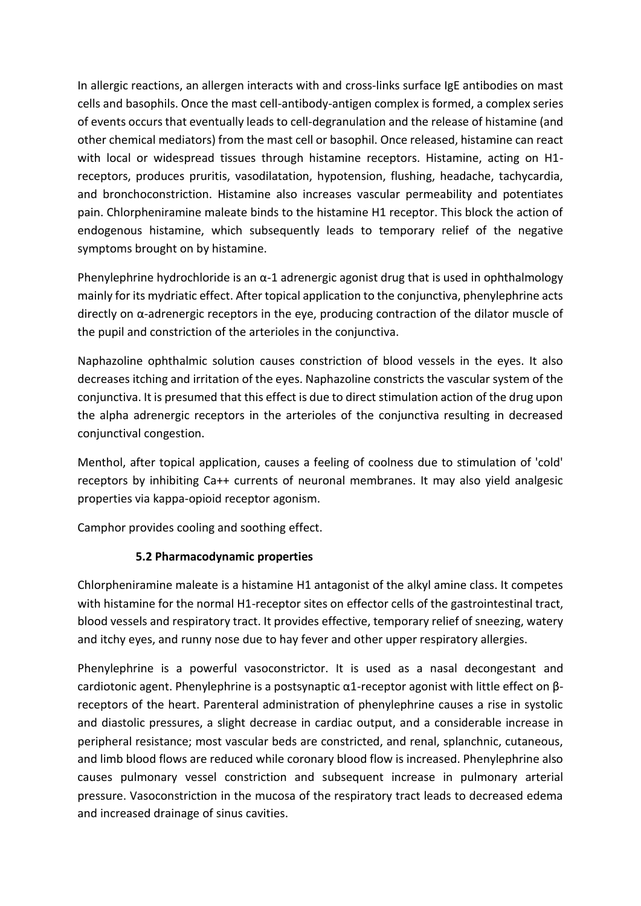In allergic reactions, an allergen interacts with and cross-links surface IgE antibodies on mast cells and basophils. Once the mast cell-antibody-antigen complex is formed, a complex series of events occurs that eventually leads to cell-degranulation and the release of histamine (and other chemical mediators) from the mast cell or basophil. Once released, histamine can react with local or widespread tissues through histamine receptors. Histamine, acting on H1 receptors, produces pruritis, vasodilatation, hypotension, flushing, headache, tachycardia, and bronchoconstriction. Histamine also increases vascular permeability and potentiates pain. Chlorpheniramine maleate binds to the histamine H1 receptor. This block the action of endogenous histamine, which subsequently leads to temporary relief of the negative symptoms brought on by histamine.

Phenylephrine hydrochloride is an  $\alpha$ -1 adrenergic agonist drug that is used in ophthalmology mainly for its mydriatic effect. After topical application to the conjunctiva, phenylephrine acts directly on α-adrenergic receptors in the eye, producing contraction of the dilator muscle of the pupil and constriction of the arterioles in the conjunctiva.

Naphazoline ophthalmic solution causes constriction of blood vessels in the eyes. It also decreases itching and irritation of the eyes. Naphazoline constricts the vascular system of the conjunctiva. It is presumed that this effect is due to direct stimulation action of the drug upon the alpha adrenergic receptors in the arterioles of the conjunctiva resulting in decreased conjunctival congestion.

Menthol, after topical application, causes a feeling of coolness due to stimulation of 'cold' receptors by inhibiting Ca++ currents of neuronal membranes. It may also yield analgesic properties via kappa-opioid receptor agonism.

Camphor provides cooling and soothing effect.

### **5.2 Pharmacodynamic properties**

Chlorpheniramine maleate is a histamine H1 antagonist of the alkyl amine class. It competes with histamine for the normal H1-receptor sites on effector cells of the gastrointestinal tract, blood vessels and respiratory tract. It provides effective, temporary relief of sneezing, watery and itchy eyes, and runny nose due to hay fever and other upper respiratory allergies.

Phenylephrine is a powerful vasoconstrictor. It is used as a nasal decongestant and cardiotonic agent. Phenylephrine is a postsynaptic α1-receptor agonist with little effect on βreceptors of the heart. Parenteral administration of phenylephrine causes a rise in systolic and diastolic pressures, a slight decrease in cardiac output, and a considerable increase in peripheral resistance; most vascular beds are constricted, and renal, splanchnic, cutaneous, and limb blood flows are reduced while coronary blood flow is increased. Phenylephrine also causes pulmonary vessel constriction and subsequent increase in pulmonary arterial pressure. Vasoconstriction in the mucosa of the respiratory tract leads to decreased edema and increased drainage of sinus cavities.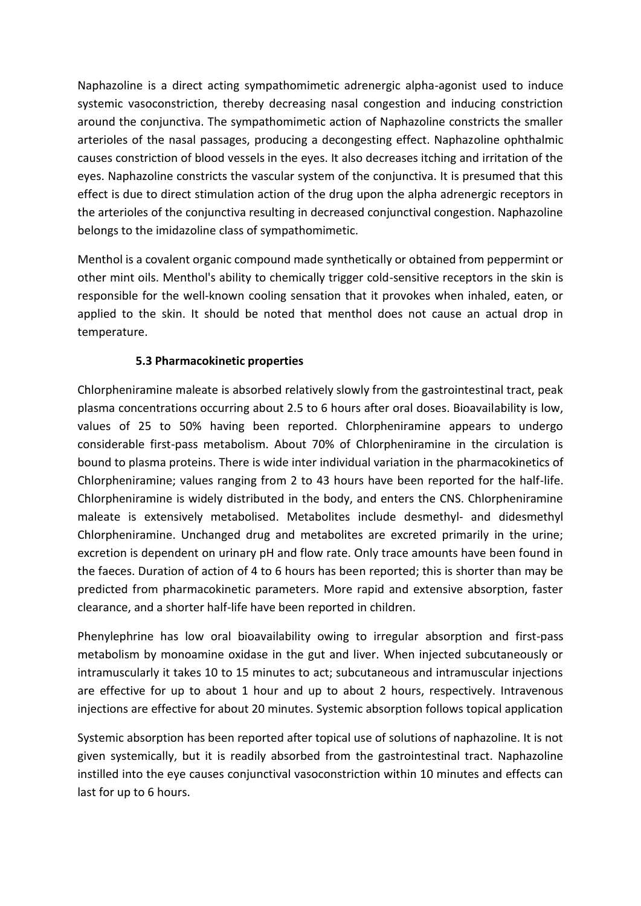Naphazoline is a direct acting sympathomimetic adrenergic alpha-agonist used to induce systemic vasoconstriction, thereby decreasing nasal congestion and inducing constriction around the conjunctiva. The sympathomimetic action of Naphazoline constricts the smaller arterioles of the nasal passages, producing a decongesting effect. Naphazoline ophthalmic causes constriction of blood vessels in the eyes. It also decreases itching and irritation of the eyes. Naphazoline constricts the vascular system of the conjunctiva. It is presumed that this effect is due to direct stimulation action of the drug upon the alpha adrenergic receptors in the arterioles of the conjunctiva resulting in decreased conjunctival congestion. Naphazoline belongs to the imidazoline class of sympathomimetic.

Menthol is a covalent organic compound made synthetically or obtained from peppermint or other mint oils. Menthol's ability to chemically trigger cold-sensitive receptors in the skin is responsible for the well-known cooling sensation that it provokes when inhaled, eaten, or applied to the skin. It should be noted that menthol does not cause an actual drop in temperature.

### **5.3 Pharmacokinetic properties**

Chlorpheniramine maleate is absorbed relatively slowly from the gastrointestinal tract, peak plasma concentrations occurring about 2.5 to 6 hours after oral doses. Bioavailability is low, values of 25 to 50% having been reported. Chlorpheniramine appears to undergo considerable first-pass metabolism. About 70% of Chlorpheniramine in the circulation is bound to plasma proteins. There is wide inter individual variation in the pharmacokinetics of Chlorpheniramine; values ranging from 2 to 43 hours have been reported for the half-life. Chlorpheniramine is widely distributed in the body, and enters the CNS. Chlorpheniramine maleate is extensively metabolised. Metabolites include desmethyl- and didesmethyl Chlorpheniramine. Unchanged drug and metabolites are excreted primarily in the urine; excretion is dependent on urinary pH and flow rate. Only trace amounts have been found in the faeces. Duration of action of 4 to 6 hours has been reported; this is shorter than may be predicted from pharmacokinetic parameters. More rapid and extensive absorption, faster clearance, and a shorter half-life have been reported in children.

Phenylephrine has low oral bioavailability owing to irregular absorption and first-pass metabolism by monoamine oxidase in the gut and liver. When injected subcutaneously or intramuscularly it takes 10 to 15 minutes to act; subcutaneous and intramuscular injections are effective for up to about 1 hour and up to about 2 hours, respectively. Intravenous injections are effective for about 20 minutes. Systemic absorption follows topical application

Systemic absorption has been reported after topical use of solutions of naphazoline. It is not given systemically, but it is readily absorbed from the gastrointestinal tract. Naphazoline instilled into the eye causes conjunctival vasoconstriction within 10 minutes and effects can last for up to 6 hours.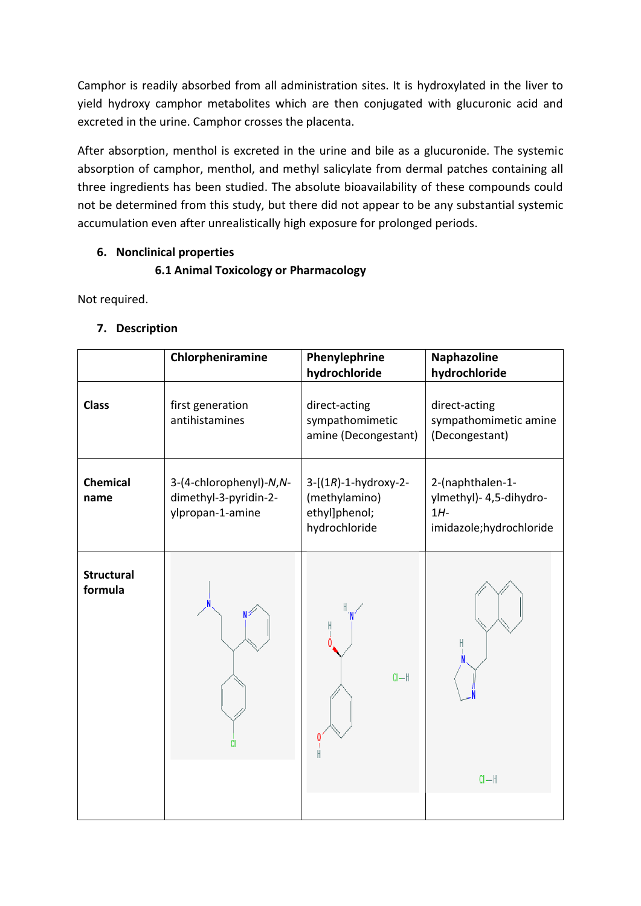Camphor is readily absorbed from all administration sites. It is hydroxylated in the liver to yield hydroxy camphor metabolites which are then conjugated with glucuronic acid and excreted in the urine. Camphor crosses the placenta.

After absorption, menthol is excreted in the urine and bile as a glucuronide. The systemic absorption of camphor, menthol, and methyl salicylate from dermal patches containing all three ingredients has been studied. The absolute bioavailability of these compounds could not be determined from this study, but there did not appear to be any substantial systemic accumulation even after unrealistically high exposure for prolonged periods.

### **6. Nonclinical properties**

## **6.1 Animal Toxicology or Pharmacology**

Not required.

### **7. Description**

|                              | Chlorpheniramine                                                     | Phenylephrine<br>hydrochloride                                                     | <b>Naphazoline</b><br>hydrochloride                                             |
|------------------------------|----------------------------------------------------------------------|------------------------------------------------------------------------------------|---------------------------------------------------------------------------------|
| <b>Class</b>                 | first generation<br>antihistamines                                   | direct-acting<br>sympathomimetic<br>amine (Decongestant)                           | direct-acting<br>sympathomimetic amine<br>(Decongestant)                        |
| <b>Chemical</b><br>name      | 3-(4-chlorophenyl)-N,N-<br>dimethyl-3-pyridin-2-<br>ylpropan-1-amine | $3 - [(1R) - 1 - hydroxy - 2 -$<br>(methylamino)<br>ethyl]phenol;<br>hydrochloride | 2-(naphthalen-1-<br>ylmethyl)- 4,5-dihydro-<br>$1H-$<br>imidazole;hydrochloride |
| <b>Structural</b><br>formula |                                                                      | H<br>$Cl - H$                                                                      | H<br>$Cl - H$                                                                   |
|                              |                                                                      |                                                                                    |                                                                                 |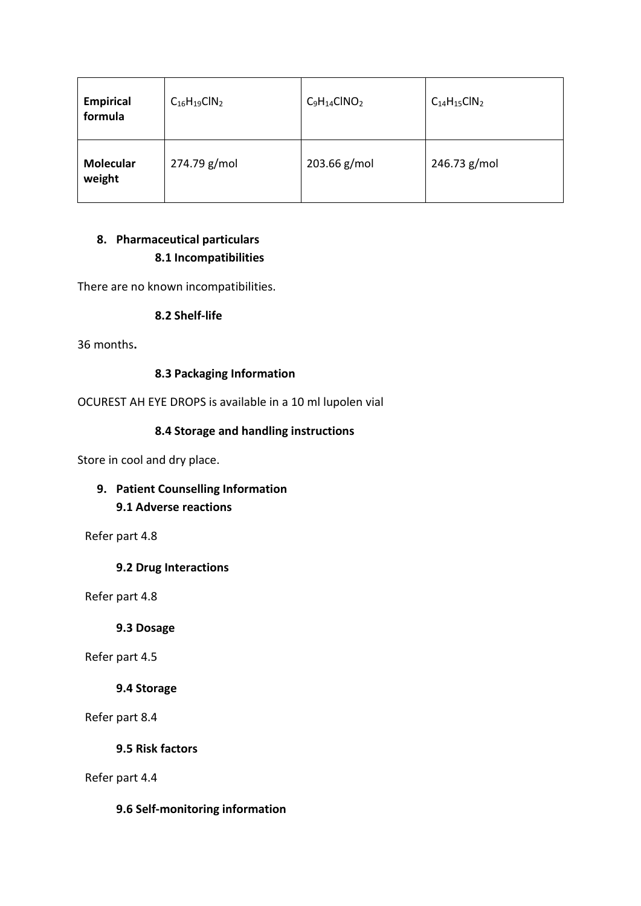| <b>Empirical</b><br>formula | $C_{16}H_{19}CIN_2$ | $C_9H_{14}CINO_2$ | $C14H15ClN2$ |
|-----------------------------|---------------------|-------------------|--------------|
| <b>Molecular</b><br>weight  | 274.79 g/mol        | 203.66 g/mol      | 246.73 g/mol |

# **8. Pharmaceutical particulars 8.1 Incompatibilities**

There are no known incompatibilities.

#### **8.2 Shelf-life**

36 months**.**

### **8.3 Packaging Information**

OCUREST AH EYE DROPS is available in a 10 ml lupolen vial

### **8.4 Storage and handling instructions**

Store in cool and dry place.

# **9. Patient Counselling Information 9.1 Adverse reactions**

Refer part 4.8

#### **9.2 Drug Interactions**

Refer part 4.8

**9.3 Dosage**

Refer part 4.5

#### **9.4 Storage**

Refer part 8.4

**9.5 Risk factors**

Refer part 4.4

#### **9.6 Self-monitoring information**